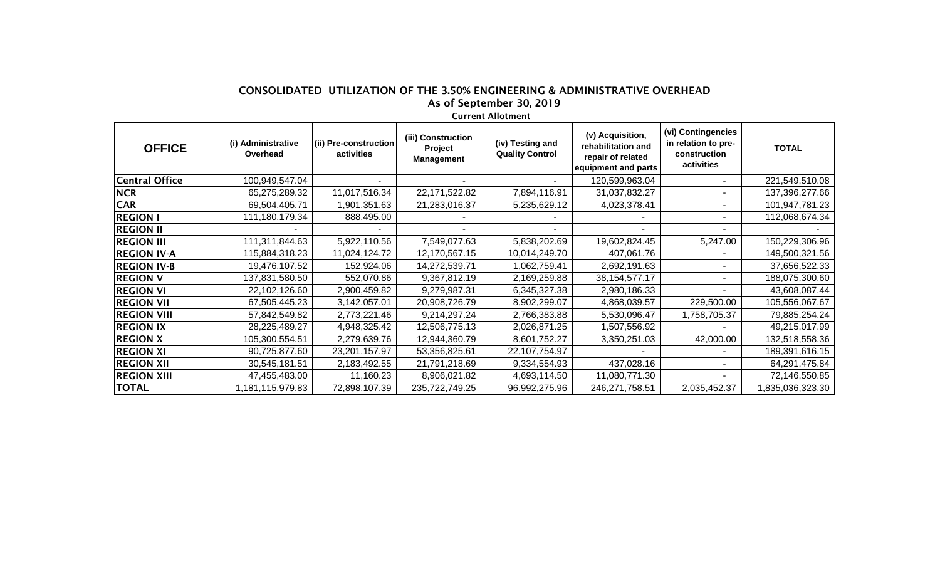## CONSOLIDATED UTILIZATION OF THE 3.50% ENGINEERING & ADMINISTRATIVE OVERHEAD As of September 30, 2019

Current Allotment

| <b>OFFICE</b>         | (i) Administrative<br>Overhead | (ii) Pre-construction<br>activities | (iii) Construction<br>Project<br><b>Management</b> | (iv) Testing and<br><b>Quality Control</b> | (v) Acquisition,<br>rehabilitation and<br>repair of related<br>equipment and parts | (vi) Contingencies<br>in relation to pre-<br>construction<br>activities | <b>TOTAL</b>     |
|-----------------------|--------------------------------|-------------------------------------|----------------------------------------------------|--------------------------------------------|------------------------------------------------------------------------------------|-------------------------------------------------------------------------|------------------|
| <b>Central Office</b> | 100,949,547.04                 |                                     |                                                    |                                            | 120,599,963.04                                                                     |                                                                         | 221,549,510.08   |
| <b>NCR</b>            | 65,275,289.32                  | 11,017,516.34                       | 22,171,522.82                                      | 7,894,116.91                               | 31,037,832.27                                                                      |                                                                         | 137,396,277.66   |
| <b>CAR</b>            | 69,504,405.71                  | 1,901,351.63                        | 21,283,016.37                                      | 5,235,629.12                               | 4,023,378.41                                                                       |                                                                         | 101,947,781.23   |
| <b>REGION I</b>       | 111,180,179.34                 | 888,495.00                          |                                                    |                                            |                                                                                    |                                                                         | 112,068,674.34   |
| <b>REGION II</b>      |                                |                                     |                                                    |                                            |                                                                                    |                                                                         |                  |
| <b>REGION III</b>     | 111,311,844.63                 | 5,922,110.56                        | 7,549,077.63                                       | 5,838,202.69                               | 19,602,824.45                                                                      | 5,247.00                                                                | 150,229,306.96   |
| <b>REGION IV-A</b>    | 115,884,318.23                 | 11,024,124.72                       | 12,170,567.15                                      | 10,014,249.70                              | 407,061.76                                                                         |                                                                         | 149,500,321.56   |
| <b>REGION IV-B</b>    | 19,476,107.52                  | 152,924.06                          | 14,272,539.71                                      | 1,062,759.41                               | 2,692,191.63                                                                       |                                                                         | 37,656,522.33    |
| <b>REGION V</b>       | 137,831,580.50                 | 552,070.86                          | 9,367,812.19                                       | 2,169,259.88                               | 38, 154, 577. 17                                                                   |                                                                         | 188,075,300.60   |
| <b>REGION VI</b>      | 22,102,126.60                  | 2,900,459.82                        | 9,279,987.31                                       | 6,345,327.38                               | 2,980,186.33                                                                       |                                                                         | 43,608,087.44    |
| <b>REGION VII</b>     | 67,505,445.23                  | 3,142,057.01                        | 20,908,726.79                                      | 8,902,299.07                               | 4,868,039.57                                                                       | 229,500.00                                                              | 105,556,067.67   |
| <b>REGION VIII</b>    | 57,842,549.82                  | 2,773,221.46                        | 9,214,297.24                                       | 2,766,383.88                               | 5,530,096.47                                                                       | 1,758,705.37                                                            | 79,885,254.24    |
| <b>REGION IX</b>      | 28,225,489.27                  | 4,948,325.42                        | 12,506,775.13                                      | 2,026,871.25                               | ,507,556.92                                                                        |                                                                         | 49,215,017.99    |
| <b>REGION X</b>       | 105,300,554.51                 | 2,279,639.76                        | 12,944,360.79                                      | 8,601,752.27                               | 3,350,251.03                                                                       | 42,000.00                                                               | 132,518,558.36   |
| <b>REGION XI</b>      | 90,725,877.60                  | 23,201,157.97                       | 53,356,825.61                                      | 22,107,754.97                              |                                                                                    |                                                                         | 189,391,616.15   |
| <b>REGION XII</b>     | 30,545,181.51                  | 2,183,492.55                        | 21,791,218.69                                      | 9,334,554.93                               | 437,028.16                                                                         |                                                                         | 64,291,475.84    |
| <b>REGION XIII</b>    | 47,455,483.00                  | 11,160.23                           | 8,906,021.82                                       | 4,693,114.50                               | 11,080,771.30                                                                      |                                                                         | 72,146,550.85    |
| <b>TOTAL</b>          | 1,181,115,979.83               | 72,898,107.39                       | 235,722,749.25                                     | 96,992,275.96                              | 246,271,758.51                                                                     | 2,035,452.37                                                            | 1,835,036,323.30 |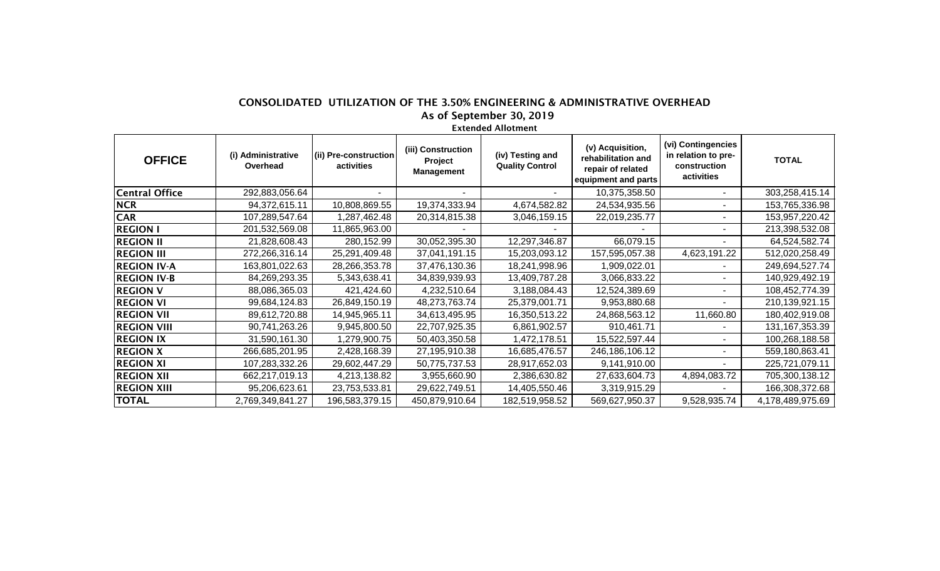## CONSOLIDATED UTILIZATION OF THE 3.50% ENGINEERING & ADMINISTRATIVE OVERHEAD As of September 30, 2019

## Extended Allotment

| <b>OFFICE</b>         | (i) Administrative<br>Overhead | (ii) Pre-construction<br>activities | (iii) Construction<br>Project<br><b>Management</b> | (iv) Testing and<br><b>Quality Control</b> | (v) Acquisition,<br>rehabilitation and<br>repair of related<br>equipment and parts | (vi) Contingencies<br>in relation to pre-<br>construction<br>activities | <b>TOTAL</b>     |
|-----------------------|--------------------------------|-------------------------------------|----------------------------------------------------|--------------------------------------------|------------------------------------------------------------------------------------|-------------------------------------------------------------------------|------------------|
| <b>Central Office</b> | 292,883,056.64                 |                                     |                                                    |                                            | 10,375,358.50                                                                      |                                                                         | 303,258,415.14   |
| <b>NCR</b>            | 94,372,615.11                  | 10,808,869.55                       | 19,374,333.94                                      | 4,674,582.82                               | 24,534,935.56                                                                      |                                                                         | 153,765,336.98   |
| <b>CAR</b>            | 107,289,547.64                 | 1,287,462.48                        | 20,314,815.38                                      | 3,046,159.15                               | 22,019,235.77                                                                      |                                                                         | 153,957,220.42   |
| <b>REGION I</b>       | 201,532,569.08                 | 11,865,963.00                       |                                                    |                                            |                                                                                    |                                                                         | 213,398,532.08   |
| <b>REGION II</b>      | 21,828,608.43                  | 280,152.99                          | 30,052,395.30                                      | 12,297,346.87                              | 66,079.15                                                                          |                                                                         | 64,524,582.74    |
| <b>REGION III</b>     | 272,266,316.14                 | 25,291,409.48                       | 37,041,191.15                                      | 15,203,093.12                              | 157,595,057.38                                                                     | 4,623,191.22                                                            | 512,020,258.49   |
| <b>REGION IV-A</b>    | 163,801,022.63                 | 28,266,353.78                       | 37,476,130.36                                      | 18,241,998.96                              | 1,909,022.01                                                                       |                                                                         | 249,694,527.74   |
| <b>REGION IV-B</b>    | 84,269,293.35                  | 5,343,638.41                        | 34,839,939.93                                      | 13,409,787.28                              | 3,066,833.22                                                                       |                                                                         | 140,929,492.19   |
| <b>REGION V</b>       | 88,086,365.03                  | 421,424.60                          | 4,232,510.64                                       | 3,188,084.43                               | 12,524,389.69                                                                      |                                                                         | 108,452,774.39   |
| <b>REGION VI</b>      | 99,684,124.83                  | 26,849,150.19                       | 48,273,763.74                                      | 25,379,001.71                              | 9,953,880.68                                                                       |                                                                         | 210,139,921.15   |
| <b>REGION VII</b>     | 89,612,720.88                  | 14,945,965.11                       | 34,613,495.95                                      | 16,350,513.22                              | 24,868,563.12                                                                      | 11,660.80                                                               | 180,402,919.08   |
| <b>REGION VIII</b>    | 90,741,263.26                  | 9,945,800.50                        | 22,707,925.35                                      | 6,861,902.57                               | 910,461.71                                                                         |                                                                         | 131,167,353.39   |
| <b>REGION IX</b>      | 31,590,161.30                  | 1,279,900.75                        | 50,403,350.58                                      | 1,472,178.51                               | 15,522,597.44                                                                      |                                                                         | 100,268,188.58   |
| <b>REGION X</b>       | 266,685,201.95                 | 2,428,168.39                        | 27,195,910.38                                      | 16,685,476.57                              | 246,186,106.12                                                                     |                                                                         | 559,180,863.41   |
| <b>REGION XI</b>      | 107,283,332.26                 | 29,602,447.29                       | 50,775,737.53                                      | 28,917,652.03                              | 9,141,910.00                                                                       |                                                                         | 225,721,079.11   |
| <b>REGION XII</b>     | 662,217,019.13                 | 4,213,138.82                        | 3,955,660.90                                       | 2,386,630.82                               | 27,633,604.73                                                                      | 4,894,083.72                                                            | 705,300,138.12   |
| <b>REGION XIII</b>    | 95,206,623.61                  | 23,753,533.81                       | 29,622,749.51                                      | 14,405,550.46                              | 3,319,915.29                                                                       |                                                                         | 166,308,372.68   |
| <b>TOTAL</b>          | 2,769,349,841.27               | 196,583,379.15                      | 450,879,910.64                                     | 182,519,958.52                             | 569,627,950.37                                                                     | 9,528,935.74                                                            | 4,178,489,975.69 |